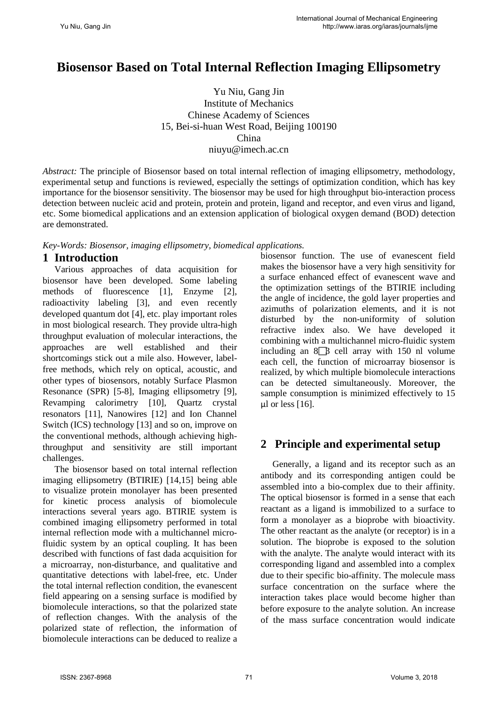# **Biosensor Based on Total Internal Reflection Imaging Ellipsometry**

Yu Niu, Gang Jin Institute of Mechanics Chinese Academy of Sciences 15, Bei-si-huan West Road, Beijing 100190 China niuyu@imech.ac.cn

*Abstract:* The principle of Biosensor based on total internal reflection of imaging ellipsometry, methodology, experimental setup and functions is reviewed, especially the settings of optimization condition, which has key importance for the biosensor sensitivity. The biosensor may be used for high throughput bio-interaction process detection between nucleic acid and protein, protein and protein, ligand and receptor, and even virus and ligand, etc. Some biomedical applications and an extension application of biological oxygen demand (BOD) detection are demonstrated.

*Key-Words: Biosensor, imaging ellipsometry, biomedical applications.*

### **1 Introduction**

Various approaches of data acquisition for biosensor have been developed. Some labeling methods of fluorescence [1], Enzyme [2], radioactivity labeling [3], and even recently developed quantum dot [4], etc. play important roles in most biological research. They provide ultra-high throughput evaluation of molecular interactions, the approaches are well established and their shortcomings stick out a mile also. However, labelfree methods, which rely on optical, acoustic, and other types of biosensors, notably Surface Plasmon Resonance (SPR) [5-8], Imaging ellipsometry [9], Revamping calorimetry [10], Quartz crystal resonators [11], Nanowires [12] and Ion Channel Switch (ICS) technology [13] and so on, improve on the conventional methods, although achieving highthroughput and sensitivity are still important challenges.

The biosensor based on total internal reflection imaging ellipsometry (BTIRIE) [14,15] being able to visualize protein monolayer has been presented for kinetic process analysis of biomolecule interactions several years ago. BTIRIE system is combined imaging ellipsometry performed in total internal reflection mode with a multichannel microfluidic system by an optical coupling. It has been described with functions of fast dada acquisition for a microarray, non-disturbance, and qualitative and quantitative detections with label-free, etc. Under the total internal reflection condition, the evanescent field appearing on a sensing surface is modified by biomolecule interactions, so that the polarized state of reflection changes. With the analysis of the polarized state of reflection, the information of biomolecule interactions can be deduced to realize a biosensor function. The use of evanescent field makes the biosensor have a very high sensitivity for a surface enhanced effect of evanescent wave and the optimization settings of the BTIRIE including the angle of incidence, the gold layer properties and azimuths of polarization elements, and it is not disturbed by the non-uniformity of solution refractive index also. We have developed it combining with a multichannel micro-fluidic system including an  $8\overline{\smash{)}\phantom{}}$  cell array with 150 nl volume each cell, the function of microarray biosensor is realized, by which multiple biomolecule interactions can be detected simultaneously. Moreover, the sample consumption is minimized effectively to 15 μl or less  $[16]$ .

## **2 Principle and experimental setup**

Generally, a ligand and its receptor such as an antibody and its corresponding antigen could be assembled into a bio-complex due to their affinity. The optical biosensor is formed in a sense that each reactant as a ligand is immobilized to a surface to form a monolayer as a bioprobe with bioactivity. The other reactant as the analyte (or receptor) is in a solution. The bioprobe is exposed to the solution with the analyte. The analyte would interact with its corresponding ligand and assembled into a complex due to their specific bio-affinity. The molecule mass surface concentration on the surface where the interaction takes place would become higher than before exposure to the analyte solution. An increase of the mass surface concentration would indicate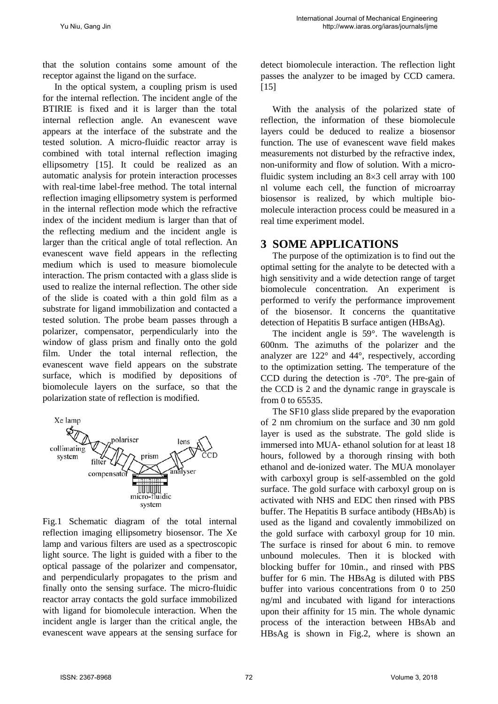that the solution contains some amount of the receptor against the ligand on the surface.

In the optical system, a coupling prism is used for the internal reflection. The incident angle of the BTIRIE is fixed and it is larger than the total internal reflection angle. An evanescent wave appears at the interface of the substrate and the tested solution. A micro-fluidic reactor array is combined with total internal reflection imaging ellipsometry [15]. It could be realized as an automatic analysis for protein interaction processes with real-time label-free method. The total internal reflection imaging ellipsometry system is performed in the internal reflection mode which the refractive index of the incident medium is larger than that of the reflecting medium and the incident angle is larger than the critical angle of total reflection. An evanescent wave field appears in the reflecting medium which is used to measure biomolecule interaction. The prism contacted with a glass slide is used to realize the internal reflection. The other side of the slide is coated with a thin gold film as a substrate for ligand immobilization and contacted a tested solution. The probe beam passes through a polarizer, compensator, perpendicularly into the window of glass prism and finally onto the gold film. Under the total internal reflection, the evanescent wave field appears on the substrate surface, which is modified by depositions of biomolecule layers on the surface, so that the polarization state of reflection is modified.



Fig.1 Schematic diagram of the total internal reflection imaging ellipsometry biosensor. The Xe lamp and various filters are used as a spectroscopic light source. The light is guided with a fiber to the optical passage of the polarizer and compensator, and perpendicularly propagates to the prism and finally onto the sensing surface. The micro-fluidic reactor array contacts the gold surface immobilized with ligand for biomolecule interaction. When the incident angle is larger than the critical angle, the evanescent wave appears at the sensing surface for

detect biomolecule interaction. The reflection light passes the analyzer to be imaged by CCD camera.  $[15]$ 

With the analysis of the polarized state of reflection, the information of these biomolecule layers could be deduced to realize a biosensor function. The use of evanescent wave field makes measurements not disturbed by the refractive index, non-uniformity and flow of solution. With a microfluidic system including an 8×3 cell array with 100 nl volume each cell, the function of microarray biosensor is realized, by which multiple biomolecule interaction process could be measured in a real time experiment model.

### **3 SOME APPLICATIONS**

The purpose of the optimization is to find out the optimal setting for the analyte to be detected with a high sensitivity and a wide detection range of target biomolecule concentration. An experiment is performed to verify the performance improvement of the biosensor. It concerns the quantitative detection of Hepatitis B surface antigen (HBsAg).

The incident angle is 59°. The wavelength is 600nm. The azimuths of the polarizer and the analyzer are 122° and 44°, respectively, according to the optimization setting. The temperature of the CCD during the detection is -70°. The pre-gain of the CCD is 2 and the dynamic range in grayscale is from 0 to 65535.

The SF10 glass slide prepared by the evaporation of 2 nm chromium on the surface and 30 nm gold layer is used as the substrate. The gold slide is immersed into MUA- ethanol solution for at least 18 hours, followed by a thorough rinsing with both ethanol and de-ionized water. The MUA monolayer with carboxyl group is self-assembled on the gold surface. The gold surface with carboxyl group on is activated with NHS and EDC then rinsed with PBS buffer. The Hepatitis B surface antibody (HBsAb) is used as the ligand and covalently immobilized on the gold surface with carboxyl group for 10 min. The surface is rinsed for about 6 min. to remove unbound molecules. Then it is blocked with blocking buffer for 10min., and rinsed with PBS buffer for 6 min. The HBsAg is diluted with PBS buffer into various concentrations from 0 to 250 ng/ml and incubated with ligand for interactions upon their affinity for 15 min. The whole dynamic process of the interaction between HBsAb and HBsAg is shown in Fig.2, where is shown an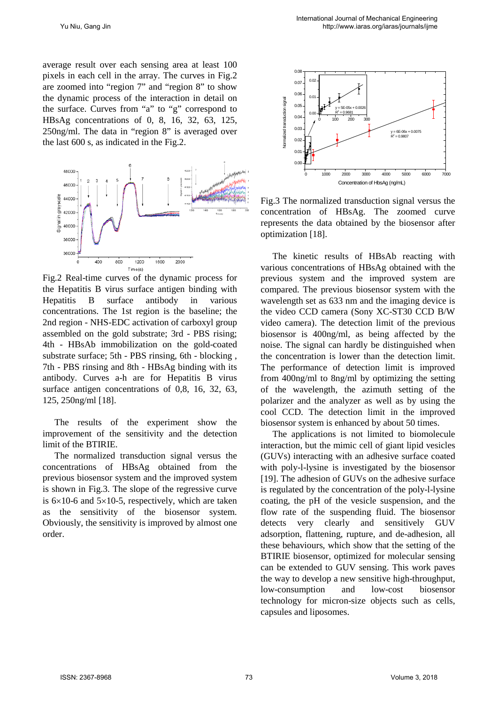average result over each sensing area at least 100 pixels in each cell in the array. The curves in Fig.2 are zoomed into "region 7" and "region 8" to show the dynamic process of the interaction in detail on the surface. Curves from "a" to "g" correspond to HBsAg concentrations of 0, 8, 16, 32, 63, 125, 250ng/ml. The data in "region 8" is averaged over the last 600 s, as indicated in the Fig.2.



Fig.2 Real-time curves of the dynamic process for the Hepatitis B virus surface antigen binding with Hepatitis B surface antibody in various concentrations. The 1st region is the baseline; the 2nd region - NHS-EDC activation of carboxyl group assembled on the gold substrate; 3rd - PBS rising; 4th - HBsAb immobilization on the gold-coated substrate surface; 5th - PBS rinsing, 6th - blocking , 7th - PBS rinsing and 8th - HBsAg binding with its antibody. Curves a-h are for Hepatitis B virus surface antigen concentrations of 0,8, 16, 32, 63, 125, 250ng/ml [18].

The results of the experiment show the improvement of the sensitivity and the detection limit of the BTIRIE.

The normalized transduction signal versus the concentrations of HBsAg obtained from the previous biosensor system and the improved system is shown in Fig.3. The slope of the regressive curve is  $6\times10-6$  and  $5\times10-5$ , respectively, which are taken as the sensitivity of the biosensor system. Obviously, the sensitivity is improved by almost one order.



Fig.3 The normalized transduction signal versus the concentration of HBsAg. The zoomed curve represents the data obtained by the biosensor after optimization [18].

The kinetic results of HBsAb reacting with various concentrations of HBsAg obtained with the previous system and the improved system are compared. The previous biosensor system with the wavelength set as 633 nm and the imaging device is the video CCD camera (Sony XC-ST30 CCD B/W video camera). The detection limit of the previous biosensor is 400ng/ml, as being affected by the noise. The signal can hardly be distinguished when the concentration is lower than the detection limit. The performance of detection limit is improved from 400ng/ml to 8ng/ml by optimizing the setting of the wavelength, the azimuth setting of the polarizer and the analyzer as well as by using the cool CCD. The detection limit in the improved biosensor system is enhanced by about 50 times.

The applications is not limited to biomolecule interaction, but the mimic cell of giant lipid vesicles (GUVs) interacting with an adhesive surface coated with poly-l-lysine is investigated by the biosensor [19]. The adhesion of GUVs on the adhesive surface is regulated by the concentration of the poly-l-lysine coating, the pH of the vesicle suspension, and the flow rate of the suspending fluid. The biosensor detects very clearly and sensitively GUV adsorption, flattening, rupture, and de-adhesion, all these behaviours, which show that the setting of the BTIRIE biosensor, optimized for molecular sensing can be extended to GUV sensing. This work paves the way to develop a new sensitive high-throughput, low-consumption and low-cost biosensor technology for micron-size objects such as cells, capsules and liposomes.